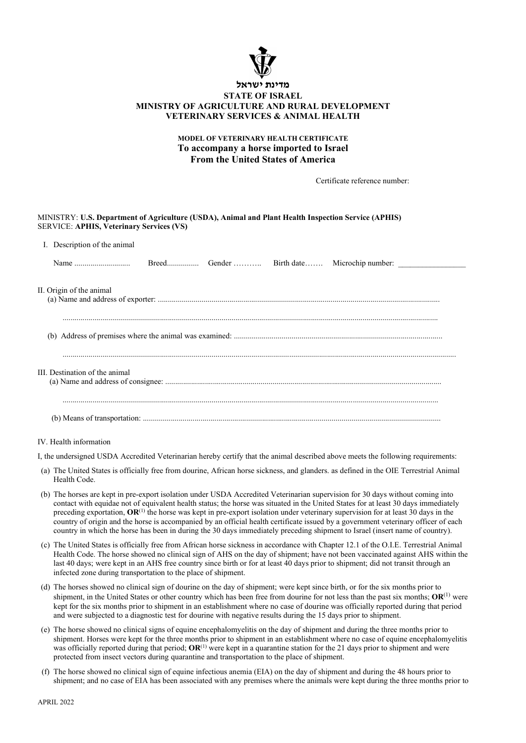

## **מדינת ישראל STATE OF ISRAEL MINISTRY OF AGRICULTURE AND RURAL DEVELOPMENT VETERINARY SERVICES & ANIMAL HEALTH**

# **MODEL OF VETERINARY HEALTH CERTIFICATE To accompany a horse imported to Israel From the United States of America**

Certificate reference number:

| MINISTRY: U.S. Department of Agriculture (USDA), Animal and Plant Health Inspection Service (APHIS)<br><b>SERVICE: APHIS, Veterinary Services (VS)</b> |
|--------------------------------------------------------------------------------------------------------------------------------------------------------|
| I. Description of the animal                                                                                                                           |
|                                                                                                                                                        |
| II. Origin of the animal                                                                                                                               |
|                                                                                                                                                        |
| III. Destination of the animal                                                                                                                         |
|                                                                                                                                                        |

IV. Health information

I, the undersigned USDA Accredited Veterinarian hereby certify that the animal described above meets the following requirements:

- (a) The United States is officially free from dourine, African horse sickness, and glanders. as defined in the OIE Terrestrial Animal Health Code.
- (b) The horses are kept in pre-export isolation under USDA Accredited Veterinarian supervision for 30 days without coming into contact with equidae not of equivalent health status; the horse was situated in the United States for at least 30 days immediately preceding exportation, OR<sup>(1)</sup> the horse was kept in pre-export isolation under veterinary supervision for at least 30 days in the country of origin and the horse is accompanied by an official health certificate issued by a government veterinary officer of each country in which the horse has been in during the 30 days immediately preceding shipment to Israel (insert name of country).
- (c) The United States is officially free from African horse sickness in accordance with Chapter 12.1 of the O.I.E. Terrestrial Animal Health Code. The horse showed no clinical sign of AHS on the day of shipment; have not been vaccinated against AHS within the last 40 days; were kept in an AHS free country since birth or for at least 40 days prior to shipment; did not transit through an infected zone during transportation to the place of shipment.
- (d) The horses showed no clinical sign of dourine on the day of shipment; were kept since birth, or for the six months prior to shipment, in the United States or other country which has been free from dourine for not less than the past six months; **OR**(1) were kept for the six months prior to shipment in an establishment where no case of dourine was officially reported during that period and were subjected to a diagnostic test for dourine with negative results during the 15 days prior to shipment.
- (e) The horse showed no clinical signs of equine encephalomyelitis on the day of shipment and during the three months prior to shipment. Horses were kept for the three months prior to shipment in an establishment where no case of equine encephalomyelitis was officially reported during that period; **OR**<sup>(1)</sup> were kept in a quarantine station for the 21 days prior to shipment and were protected from insect vectors during quarantine and transportation to the place of shipment.
- (f) The horse showed no clinical sign of equine infectious anemia (EIA) on the day of shipment and during the 48 hours prior to shipment; and no case of EIA has been associated with any premises where the animals were kept during the three months prior to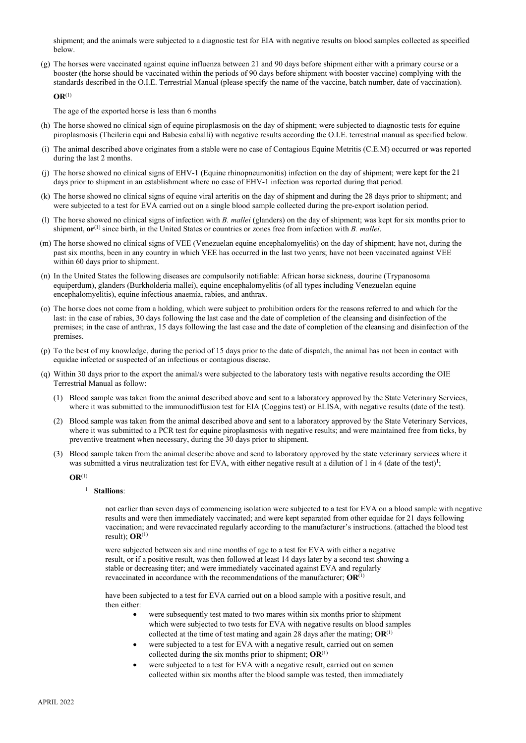shipment; and the animals were subjected to a diagnostic test for EIA with negative results on blood samples collected as specified below.

(g) The horses were vaccinated against equine influenza between 21 and 90 days before shipment either with a primary course or a booster (the horse should be vaccinated within the periods of 90 days before shipment with booster vaccine) complying with the standards described in the O.I.E. Terrestrial Manual (please specify the name of the vaccine, batch number, date of vaccination).

 $\mathbf{OR}^{(1)}$ 

The age of the exported horse is less than 6 months

- (h) The horse showed no clinical sign of equine piroplasmosis on the day of shipment; were subjected to diagnostic tests for equine piroplasmosis (Theileria equi and Babesia caballi) with negative results according the O.I.E. terrestrial manual as specified below.
- (i) The animal described above originates from a stable were no case of Contagious Equine Metritis (C.E.M) occurred or was reported during the last 2 months.
- (j) The horse showed no clinical signs of EHV-1 (Equine rhinopneumonitis) infection on the day of shipment; were kept for the 21 days prior to shipment in an establishment where no case of EHV-1 infection was reported during that period.
- (k) The horse showed no clinical signs of equine viral arteritis on the day of shipment and during the 28 days prior to shipment; and were subjected to a test for EVA carried out on a single blood sample collected during the pre-export isolation period.
- (l) The horse showed no clinical signs of infection with *B. mallei* (glanders) on the day of shipment; was kept for six months prior to shipment, **or**<sup>(1)</sup> since birth, in the United States or countries or zones free from infection with *B. mallei*.
- (m) The horse showed no clinical signs of VEE (Venezuelan equine encephalomyelitis) on the day of shipment; have not, during the past six months, been in any country in which VEE has occurred in the last two years; have not been vaccinated against VEE within 60 days prior to shipment.
- (n) In the United States the following diseases are compulsorily notifiable: African horse sickness, dourine (Trypanosoma equiperdum), glanders (Burkholderia mallei), equine encephalomyelitis (of all types including Venezuelan equine encephalomyelitis), equine infectious anaemia, rabies, and anthrax.
- (o) The horse does not come from a holding, which were subject to prohibition orders for the reasons referred to and which for the last: in the case of rabies, 30 days following the last case and the date of completion of the cleansing and disinfection of the premises; in the case of anthrax, 15 days following the last case and the date of completion of the cleansing and disinfection of the premises.
- (p) To the best of my knowledge, during the period of 15 days prior to the date of dispatch, the animal has not been in contact with equidae infected or suspected of an infectious or contagious disease.
- (q) Within 30 days prior to the export the animal/s were subjected to the laboratory tests with negative results according the OIE Terrestrial Manual as follow:
	- (1) Blood sample was taken from the animal described above and sent to a laboratory approved by the State Veterinary Services, where it was submitted to the immunodiffusion test for EIA (Coggins test) or ELISA, with negative results (date of the test).
	- (2) Blood sample was taken from the animal described above and sent to a laboratory approved by the State Veterinary Services, where it was submitted to a PCR test for equine piroplasmosis with negative results; and were maintained free from ticks, by preventive treatment when necessary, during the 30 days prior to shipment.
	- (3) Blood sample taken from the animal describe above and send to laboratory approved by the state veterinary services where it was submitted a virus neutralization test for EVA, with either negative result at a dilution of 1 in 4 (date of the test)<sup>1</sup>;

**OR**(1)

### 1 **Stallions**:

not earlier than seven days of commencing isolation were subjected to a test for EVA on a blood sample with negative results and were then immediately vaccinated; and were kept separated from other equidae for 21 days following vaccination; and were revaccinated regularly according to the manufacturer's instructions. (attached the blood test result);  $OR^{(1)}$ 

were subjected between six and nine months of age to a test for EVA with either a negative result, or if a positive result, was then followed at least 14 days later by a second test showing a stable or decreasing titer; and were immediately vaccinated against EVA and regularly revaccinated in accordance with the recommendations of the manufacturer;  $OR^{(1)}$ 

have been subjected to a test for EVA carried out on a blood sample with a positive result, and then either:

- were subsequently test mated to two mares within six months prior to shipment which were subjected to two tests for EVA with negative results on blood samples collected at the time of test mating and again 28 days after the mating; **OR**(1)
- were subjected to a test for EVA with a negative result, carried out on semen collected during the six months prior to shipment; **OR**(1)
- were subjected to a test for EVA with a negative result, carried out on semen collected within six months after the blood sample was tested, then immediately